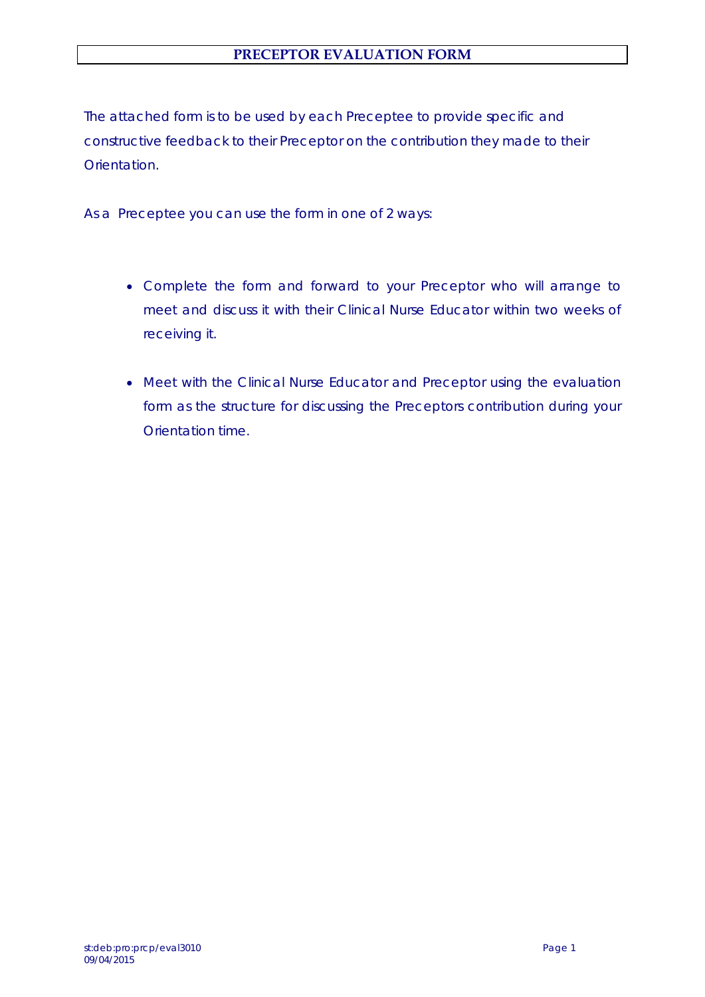## **PRECEPTOR EVALUATION FORM**

The attached form is to be used by each Preceptee to provide specific and constructive feedback to their Preceptor on the contribution they made to their Orientation.

As a Preceptee you can use the form in one of 2 ways:

- Complete the form and forward to your Preceptor who will arrange to meet and discuss it with their Clinical Nurse Educator within two weeks of receiving it.
- Meet with the Clinical Nurse Educator and Preceptor using the evaluation form as the structure for discussing the Preceptors contribution during your Orientation time.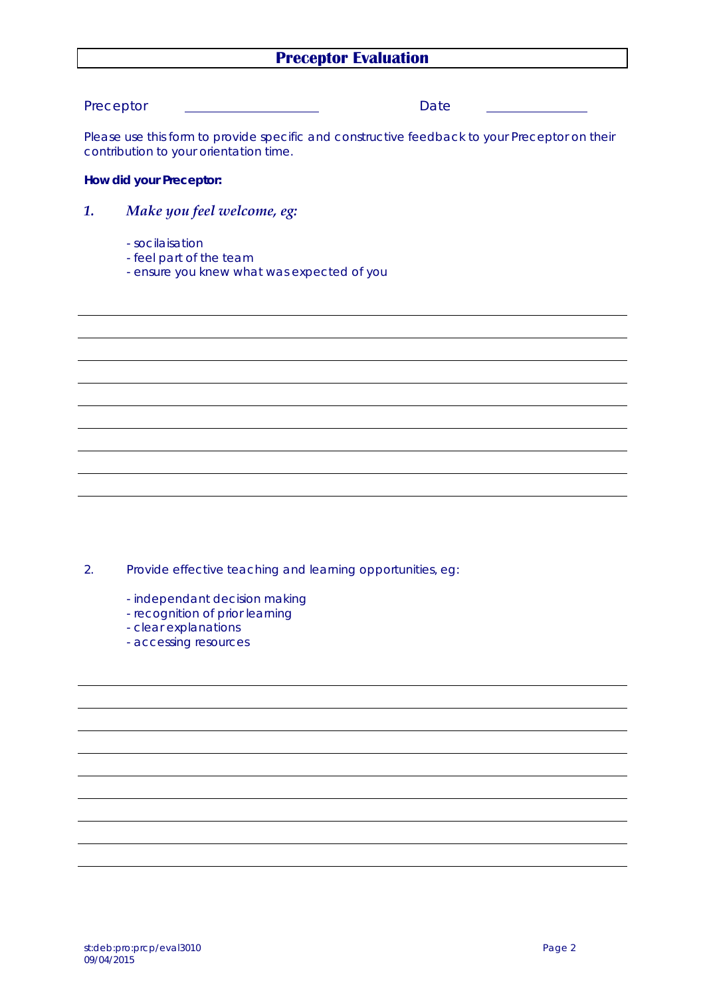## **Preceptor Evaluation**

Preceptor **CONFIDENT** Date

Please use this form to provide specific and constructive feedback to your Preceptor on their contribution to your orientation time.

## **How did your Preceptor:**

## *1. Make you feel welcome, eg:*

- socilaisation
- feel part of the team
- ensure you knew what was expected of you

- 2. Provide effective teaching and learning opportunities, eg:
	- independant decision making
	- recognition of prior learning
	- clear explanations
	- accessing resources